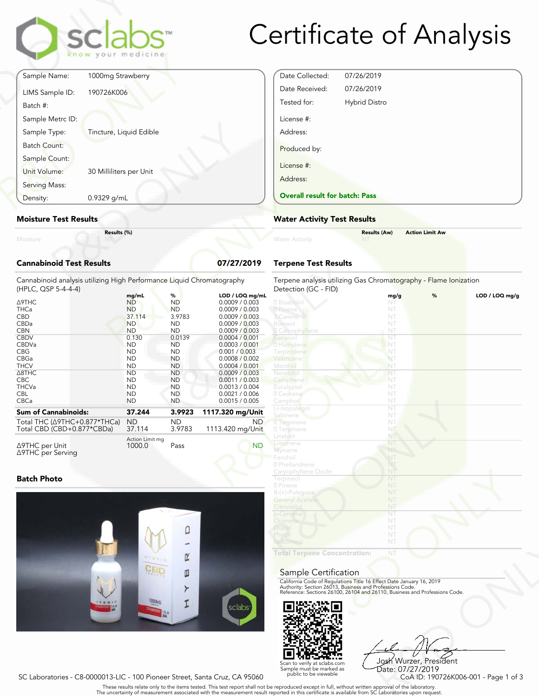# Certificate of Analysis

|          | <b>Cannabinoid Test Results</b> |                         | 07/27/2019 |
|----------|---------------------------------|-------------------------|------------|
| Moisture |                                 | Results (%)             |            |
|          | <b>Moisture Test Results</b>    |                         |            |
|          | Density:                        | 0.9329 g/mL             |            |
|          | Serving Mass:                   |                         |            |
|          | Unit Volume:                    | 30 Milliliters per Unit |            |
|          | Sample Count:                   |                         |            |
|          | Batch Count:                    |                         |            |
|          | Sample Type:                    | Tincture, Liquid Edible |            |
|          | Sample Metrc ID:                |                         |            |
|          | Batch #:                        |                         |            |
|          | LIMS Sample ID:                 | 190726K006              |            |
|          | Sample Name:                    | 1000mg Strawberry       |            |

#### Moisture Test Results

### Cannabinoid Test Results 07/27/2019

| 0.9329 g/mL<br>Density:                                                                                                                                                                              | <b>Overall result for batc</b>                                                                                                                                                                    |                                                                                                                                                                                          |                                                                                                                                                                                                                                                                                              |                                                                                                                                                                                                        |
|------------------------------------------------------------------------------------------------------------------------------------------------------------------------------------------------------|---------------------------------------------------------------------------------------------------------------------------------------------------------------------------------------------------|------------------------------------------------------------------------------------------------------------------------------------------------------------------------------------------|----------------------------------------------------------------------------------------------------------------------------------------------------------------------------------------------------------------------------------------------------------------------------------------------|--------------------------------------------------------------------------------------------------------------------------------------------------------------------------------------------------------|
| <b>Moisture Test Results</b>                                                                                                                                                                         | <b>Water Activity Test R</b>                                                                                                                                                                      |                                                                                                                                                                                          |                                                                                                                                                                                                                                                                                              |                                                                                                                                                                                                        |
| Moisture                                                                                                                                                                                             | Results (%)                                                                                                                                                                                       |                                                                                                                                                                                          |                                                                                                                                                                                                                                                                                              | <b>Water Activity</b>                                                                                                                                                                                  |
| <b>Cannabinoid Test Results</b>                                                                                                                                                                      |                                                                                                                                                                                                   |                                                                                                                                                                                          | 07/27/2019                                                                                                                                                                                                                                                                                   | <b>Terpene Test Results</b>                                                                                                                                                                            |
| Cannabinoid analysis utilizing High Performance Liquid Chromatography<br>(HPLC, QSP 5-4-4-4)                                                                                                         |                                                                                                                                                                                                   |                                                                                                                                                                                          |                                                                                                                                                                                                                                                                                              | Terpene analysis utilizing<br>Detection (GC - FID)                                                                                                                                                     |
| <b>A9THC</b><br><b>THCa</b><br><b>CBD</b><br>CBDa<br><b>CBN</b><br><b>CBDV</b><br>CBDVa<br><b>CBG</b><br>CBGa<br><b>THCV</b><br>$\triangle$ 8THC<br><b>CBC</b><br><b>THCVa</b><br><b>CBL</b><br>CBCa | mg/mL<br><b>ND</b><br><b>ND</b><br>37.114<br><b>ND</b><br><b>ND</b><br>0.130<br><b>ND</b><br><b>ND</b><br><b>ND</b><br><b>ND</b><br><b>ND</b><br><b>ND</b><br><b>ND</b><br><b>ND</b><br><b>ND</b> | %<br><b>ND</b><br><b>ND</b><br>3.9783<br>ND.<br><b>ND</b><br>0.0139<br><b>ND</b><br><b>ND</b><br><b>ND</b><br><b>ND</b><br><b>ND</b><br><b>ND</b><br><b>ND</b><br><b>ND</b><br><b>ND</b> | LOD / LOQ mg/mL<br>0.0009 / 0.003<br>0.0009 / 0.003<br>0.0009 / 0.003<br>0.0009 / 0.003<br>0.0009 / 0.003<br>0.0004 / 0.001<br>0.0003 / 0.001<br>0.001 / 0.003<br>0.0008 / 0.002<br>0.0004 / 0.001<br>0.0009 / 0.003<br>0.0011 / 0.003<br>0.0013 / 0.004<br>0.0021 / 0.006<br>0.0015 / 0.005 | 2 Bisabolol<br>2 Pinene<br>3 Carene<br>Borneol<br><b>Z</b> Caryophyllene<br>Geranio<br>2 Humulene<br>Terpinolene<br>Valencene<br>Menthol<br>Nerolido<br>Camphene<br>Eucalyptol<br>2 Cedrene<br>Camphor |
| <b>Sum of Cannabinoids:</b>                                                                                                                                                                          | 37.244                                                                                                                                                                                            | 3.9923                                                                                                                                                                                   | 1117.320 mg/Unit                                                                                                                                                                                                                                                                             | (-)-Isopulegol<br>Sabinene                                                                                                                                                                             |
| Total THC (∆9THC+0.877*THCa)<br>Total CBD (CBD+0.877*CBDa)                                                                                                                                           | <b>ND</b><br>37.114<br>Action Limit mg                                                                                                                                                            | <b>ND</b><br>3.9783                                                                                                                                                                      | ND.<br>1113.420 mg/Unit                                                                                                                                                                                                                                                                      | <b>7</b> Terpinene<br><b>7</b> Terpinene<br>Linalool                                                                                                                                                   |
| ∆9THC per Unit<br>∆9THC per Serving                                                                                                                                                                  | 1000.0                                                                                                                                                                                            | Pass                                                                                                                                                                                     | <b>ND</b>                                                                                                                                                                                                                                                                                    | Limonene<br>Myrcene                                                                                                                                                                                    |

### Batch Photo



| Date Collected:                       | 07/26/2019           |  |
|---------------------------------------|----------------------|--|
| Date Received:                        | 07/26/2019           |  |
| Tested for:                           | <b>Hybrid Distro</b> |  |
| License #:                            |                      |  |
| Address:                              |                      |  |
| Produced by:                          |                      |  |
| License #:                            |                      |  |
| Address:                              |                      |  |
| <b>Overall result for batch: Pass</b> |                      |  |

#### Water Activity Test Results

|                | <b>Results (Aw)</b> | <b>Action Limit Aw</b> |
|----------------|---------------------|------------------------|
| Water Activity |                     |                        |
|                |                     |                        |

#### Terpene Test Results

| atography       | Terpene analysis utilizing Gas Chromatography - Flame Ionization<br>Detection (GC - FID) |      |   |                |
|-----------------|------------------------------------------------------------------------------------------|------|---|----------------|
| LOD / LOQ mg/mL |                                                                                          | mg/g | % | LOD / LOQ mg/g |
| 0.0009 / 0.003  | 2 Bisabolol                                                                              | NT   |   |                |
| 0.0009 / 0.003  | 2 Pinene                                                                                 | NT   |   |                |
| 0.0009 / 0.003  | 3 Carene                                                                                 | NT   |   |                |
| 0.0009 / 0.003  | Borneol                                                                                  | NT   |   |                |
| 0.0009 / 0.003  | <b>Z</b> Caryophyllene                                                                   | NT   |   |                |
| 0.0004 / 0.001  | Geraniol                                                                                 | NT   |   |                |
| 0.0003 / 0.001  | 2 Humulene                                                                               | NT   |   |                |
| 0.001 / 0.003   | <b>Terpinolene</b>                                                                       | NT   |   |                |
| 0.0008 / 0.002  | Valencene                                                                                | NT   |   |                |
| 0.0004 / 0.001  | Menthol                                                                                  | NT   |   |                |
| 0.0009 / 0.003  | Nerolidol                                                                                | NT   |   |                |
| 0.0011 / 0.003  | Camphene                                                                                 | NT   |   |                |
| 0.0013 / 0.004  | Eucalyptol                                                                               | NT   |   |                |
|                 |                                                                                          |      |   |                |
| 0.0021 / 0.006  | 2 Cedrene                                                                                | NT   |   |                |
| 0.0015 / 0.005  | Camphor                                                                                  | NT   |   |                |
| 7.320 mg/Unit   | (-)-Isopulegol                                                                           | NT   |   |                |
|                 | Sabinene                                                                                 | NT   |   |                |
| ND.             | <b>7</b> Terpinene                                                                       | NT   |   |                |
| 13.420 mg/Unit  | <b>7</b> Terpinene                                                                       | NT   |   |                |
|                 | Linalool                                                                                 | NT.  |   |                |
| <b>ND</b>       | Limonene                                                                                 | NT   |   |                |
|                 | Myrcene                                                                                  | NT   |   |                |
|                 | Fenchol                                                                                  | NT   |   |                |
|                 | 2 Phellandrene                                                                           | NT   |   |                |
|                 | Caryophyllene Oxide                                                                      | NT   |   |                |
|                 | Terpineol                                                                                | NT   |   |                |
|                 | 2 Pinene                                                                                 | NT   |   |                |
|                 | R-(+)-Pulegone                                                                           | NT   |   |                |
|                 | <b>Geranyl Acetate</b>                                                                   | NT   |   |                |
|                 | Citronellol                                                                              | NT   |   |                |
|                 | p-Cymene                                                                                 | NT   |   |                |
|                 | Ocimene                                                                                  | NT   |   |                |
|                 | Guaio                                                                                    | NT   |   |                |
|                 | Phytol                                                                                   | NT   |   |                |
|                 | Isoborneol                                                                               | NT   |   |                |
|                 | <b>Total Terpene Concentration:</b>                                                      | NT   |   |                |
|                 |                                                                                          |      |   |                |
|                 |                                                                                          |      |   |                |
|                 | Sample Certification                                                                     |      |   |                |
|                 | California Code of Regulations Title 16 Effect Date January 16, 2019                     |      |   |                |
|                 | Authority: Section 26013, Business and Professions Code.                                 |      |   |                |
|                 | Reference: Sections 26100, 26104 and 26110, Business and Professions Code.               |      |   |                |
|                 |                                                                                          |      |   |                |
| sclabs          |                                                                                          |      |   |                |
|                 |                                                                                          |      |   |                |
|                 |                                                                                          |      |   |                |
|                 |                                                                                          |      |   |                |

#### Sample Certification



NT<br>
NT<br>
Fect Date January 16, 2019<br>
rofessions Code.<br>
9110, Business and Professions Code.<br>
910, Business and Professions Code.<br>
92<br>
Josh Wurzer, President<br>
CoA ID: 190726K006-001 - Page 1 of 3<br>
pproval of the laboratories Josh Wurzer, President Date: 07/27/2019

SC Laboratories - C8-0000013-LIC - 100 Pioneer Street, Santa Cruz, CA 95060

. These results relate only to the items tested. This test report shall not be reproduced except in full, without written approval of the laboratory.<br>The uncertainty of measurement associated with the measurement result re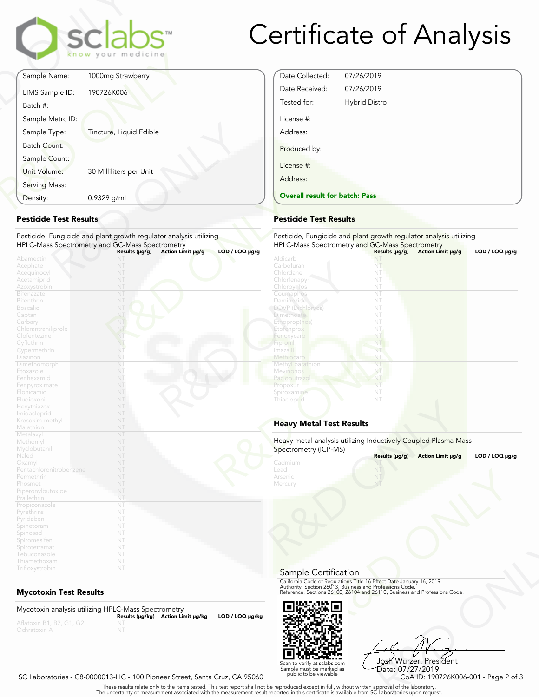

### Certificate of Analysis

Date Collected: 07/26/2019 Date Received: 07/26/2019 Tested for: Hybrid Distro

Overall result for batch: Pass

License #: Address:

Produced by:

License #: Address:

| Sample Name:<br>190726K006<br>LIMS Sample ID: | 1000mg Strawberry       |
|-----------------------------------------------|-------------------------|
|                                               |                         |
|                                               |                         |
| Batch #:                                      |                         |
| Sample Metrc ID:                              |                         |
| Sample Type:                                  | Tincture, Liquid Edible |
| <b>Batch Count:</b>                           |                         |
| Sample Count:                                 |                         |
| Unit Volume:                                  | 30 Milliliters per Unit |
| Serving Mass:                                 |                         |
| 0.9329 g/mL<br>Density:                       |                         |

#### Pesticide Test Results

| Density:                                                                                       | 0.9329 g/mL                                                                                                           | <b>Overall result for batc</b>                                                                          |
|------------------------------------------------------------------------------------------------|-----------------------------------------------------------------------------------------------------------------------|---------------------------------------------------------------------------------------------------------|
| <b>Pesticide Test Results</b>                                                                  |                                                                                                                       | <b>Pesticide Test Results</b>                                                                           |
|                                                                                                | Pesticide, Fungicide and plant growth regulator analysis utilizing<br>HPLC-Mass Spectrometry and GC-Mass Spectrometry | Pesticide, Fungicide and<br><b>HPLC-Mass Spectrometry</b>                                               |
| Abamectin<br>Acephate<br>Acequinocyl<br>Acetamiprid<br>Azoxystrobin<br>Bifenazate              | Action Limit µg/g<br>Results (µg/g)<br>NT<br>NT<br>NT<br>NT<br>NT<br>NT                                               | $LOD / LOQ \mu g/g$<br>Aldicarb<br>Carbofuran<br>Chlordane<br>Chlorfenapyr<br>Chlorpyritos<br>Coumaphos |
| Bifenthrin<br><b>Boscalid</b><br>Captan<br>Carbaryl                                            | NT<br>NT<br>NT<br>NT                                                                                                  | Daminozide<br>DDVP (Dichlorvos)<br><b>Dimethoate</b><br>Ethoprop(hos)                                   |
| Chlorantraniliprole<br>Clofentezine<br>Cyfluthrin<br>Cypermethrin<br>Diazinon                  | NT<br>NT<br>NT<br>NT<br>NT                                                                                            | Etofenprox<br>Fenoxycarb<br>Fipronil<br>Imazalil<br>Methiocarb                                          |
| Dimethomorph<br>Etoxazole<br>Fenhexamid<br>Fenpyroximate                                       | NT<br>NT<br>NT<br>NT                                                                                                  | Methyl parathion<br>Mevinphos<br>Paclobutrazo<br>Propoxur                                               |
| Flonicamid<br>Fludioxonil<br>Hexythiazox<br>Imidacloprid                                       | NT<br>NT<br>NT<br>NT                                                                                                  | Spiroxamine<br>Thiacloprid                                                                              |
| Kresoxim-methyl<br>Malathion                                                                   | NT<br>NT<br>NT                                                                                                        | <b>Heavy Metal Test Res</b>                                                                             |
| Metalaxyl<br>Methomyl<br>Myclobutanil<br>Naled                                                 | NT<br>NT<br>NT<br>NT                                                                                                  | Heavy metal analysis utiliz<br>Spectrometry (ICP-MS)<br>Cadmium                                         |
| Oxamyl<br>Pentachloronitrobenzene<br>Permethrin<br>Phosmet<br>Piperonylbutoxide<br>Prallethrin | NT<br>NT<br>NT<br>NT<br>NT                                                                                            | Lead<br>Arsenic<br>Mercury                                                                              |
| Propiconazole<br>Pyrethrins<br>Pyridaben<br>Spinetoram                                         | NT<br>NT<br>NT<br>NT                                                                                                  |                                                                                                         |
| Spinosad<br>Spiromesifen<br>Spirotetramat<br>Tebuconazole<br>Thiamethoxam                      | NT<br>NT<br>NT<br>NT<br>NT                                                                                            |                                                                                                         |
| Trifloxystrobin                                                                                | NT                                                                                                                    |                                                                                                         |

#### Mycotoxin Test Results

Mycotoxin analysis utilizing HPLC-Mass Spectrometry Results (μg/kg) Action Limit μg/kg LOD / LOQ μg/kg NT



R&D ONLY Josh Wurzer, President Date: 07/27/2019

SC Laboratories - C8-0000013-LIC - 100 Pioneer Street, Santa Cruz, CA 95060

. These results relate only to the items tested. This test report shall not be reproduced except in full, without written approval of the laboratory.<br>The uncertainty of measurement associated with the measurement result re

Scan to verify at sclabs.com Sample must be marked as public to be viewable

| $LOD / LOQ \mu g/g$ | HPLC-Mass Spectrometry and GC-Mass Spectrometry                | Results $(\mu g/g)$ | Action Limit µg/g | LOD / LOQ µg/g      |
|---------------------|----------------------------------------------------------------|---------------------|-------------------|---------------------|
|                     | Aldicarb                                                       | NT                  |                   |                     |
|                     | Carbofuran                                                     | NT                  |                   |                     |
|                     | Chlordane                                                      | NT                  |                   |                     |
|                     | Chlorfenapyr                                                   | NT                  |                   |                     |
|                     | Chlorpyrifos                                                   | NT                  |                   |                     |
|                     | Coumaphos                                                      | NT                  |                   |                     |
|                     | <b>Daminozide</b>                                              | NT                  |                   |                     |
|                     | <b>DDVP</b> (Dichlorvos)                                       | NT                  |                   |                     |
|                     | <b>Dimethoate</b>                                              | NT                  |                   |                     |
|                     | Ethoprop(hos)                                                  | NT                  |                   |                     |
|                     | Etofenprox                                                     | NT                  |                   |                     |
|                     | Fenoxycarb                                                     | NT                  |                   |                     |
|                     | Fipronil                                                       | NT                  |                   |                     |
|                     | Imazalil                                                       | NT                  |                   |                     |
|                     | Methiocarb                                                     | NT                  |                   |                     |
|                     | Methyl parathion                                               | NT                  |                   |                     |
|                     | Mevinphos                                                      | NT                  |                   |                     |
|                     | Paclobutrazol                                                  | NT                  |                   |                     |
|                     | Propoxur                                                       | NT                  |                   |                     |
|                     | Spiroxamine                                                    | NT                  |                   |                     |
|                     | Thiacloprid                                                    | NT                  |                   |                     |
|                     | <b>Heavy Metal Test Results</b>                                |                     |                   |                     |
|                     | Heavy metal analysis utilizing Inductively Coupled Plasma Mass |                     |                   |                     |
|                     | Spectrometry (ICP-MS)                                          |                     |                   |                     |
|                     |                                                                | Results (µg/g)      | Action Limit µg/g | $LOD / LOQ \mu g/g$ |
|                     | Cadmium                                                        |                     |                   |                     |
|                     | Lead                                                           | NT                  |                   |                     |
|                     | Arsenic                                                        |                     |                   |                     |
|                     | Mercury                                                        | NT                  |                   |                     |

#### Heavy Metal Test Results

Pesticide, Fungicide and plant growth regulator analysis utilizing

| Spectrometry (ICP-MS)                 | Heavy metal analysis utilizing Inductively Coupled Plasma Mass                                                                                                                                                 |                     |
|---------------------------------------|----------------------------------------------------------------------------------------------------------------------------------------------------------------------------------------------------------------|---------------------|
|                                       | Results (µg/g)<br>Action Limit µg/g                                                                                                                                                                            | LOD / LOQ $\mu$ g/g |
| Cadmium<br>Lead<br>Arsenic<br>Mercury | NT                                                                                                                                                                                                             |                     |
| Sample Certification                  |                                                                                                                                                                                                                |                     |
|                                       | California Code of Regulations Title 16 Effect Date January 16, 2019<br>Authority: Section 26013, Business and Professions Code.<br>Reference: Sections 26100, 26104 and 26110, Business and Professions Code. |                     |
|                                       |                                                                                                                                                                                                                |                     |